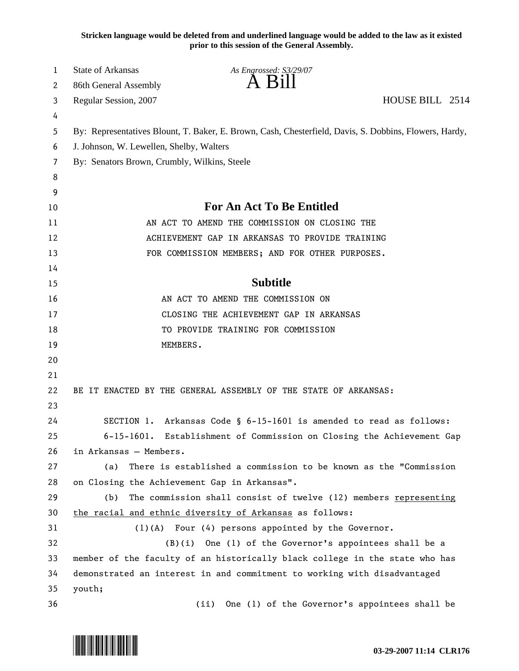**Stricken language would be deleted from and underlined language would be added to the law as it existed prior to this session of the General Assembly.**

| 1  | State of Arkansas                               | As Engrossed: S3/29/07                                                                                 |                 |  |  |  |  |
|----|-------------------------------------------------|--------------------------------------------------------------------------------------------------------|-----------------|--|--|--|--|
| 2  | 86th General Assembly                           | A B1ll                                                                                                 |                 |  |  |  |  |
| 3  | Regular Session, 2007                           |                                                                                                        | HOUSE BILL 2514 |  |  |  |  |
| 4  |                                                 |                                                                                                        |                 |  |  |  |  |
| 5  |                                                 | By: Representatives Blount, T. Baker, E. Brown, Cash, Chesterfield, Davis, S. Dobbins, Flowers, Hardy, |                 |  |  |  |  |
| 6  | J. Johnson, W. Lewellen, Shelby, Walters        |                                                                                                        |                 |  |  |  |  |
| 7  | By: Senators Brown, Crumbly, Wilkins, Steele    |                                                                                                        |                 |  |  |  |  |
| 8  |                                                 |                                                                                                        |                 |  |  |  |  |
| 9  |                                                 |                                                                                                        |                 |  |  |  |  |
| 10 | <b>For An Act To Be Entitled</b>                |                                                                                                        |                 |  |  |  |  |
| 11 | AN ACT TO AMEND THE COMMISSION ON CLOSING THE   |                                                                                                        |                 |  |  |  |  |
| 12 | ACHIEVEMENT GAP IN ARKANSAS TO PROVIDE TRAINING |                                                                                                        |                 |  |  |  |  |
| 13 | FOR COMMISSION MEMBERS; AND FOR OTHER PURPOSES. |                                                                                                        |                 |  |  |  |  |
| 14 |                                                 |                                                                                                        |                 |  |  |  |  |
| 15 |                                                 | <b>Subtitle</b>                                                                                        |                 |  |  |  |  |
| 16 |                                                 | AN ACT TO AMEND THE COMMISSION ON                                                                      |                 |  |  |  |  |
| 17 | CLOSING THE ACHIEVEMENT GAP IN ARKANSAS         |                                                                                                        |                 |  |  |  |  |
| 18 |                                                 | TO PROVIDE TRAINING FOR COMMISSION                                                                     |                 |  |  |  |  |
| 19 | MEMBERS.                                        |                                                                                                        |                 |  |  |  |  |
| 20 |                                                 |                                                                                                        |                 |  |  |  |  |
| 21 |                                                 |                                                                                                        |                 |  |  |  |  |
| 22 |                                                 | BE IT ENACTED BY THE GENERAL ASSEMBLY OF THE STATE OF ARKANSAS:                                        |                 |  |  |  |  |
| 23 |                                                 |                                                                                                        |                 |  |  |  |  |
| 24 |                                                 | SECTION 1. Arkansas Code § 6-15-1601 is amended to read as follows:                                    |                 |  |  |  |  |
| 25 | $6 - 15 - 1601$ .                               | Establishment of Commission on Closing the Achievement Gap                                             |                 |  |  |  |  |
| 26 | in Arkansas - Members.                          |                                                                                                        |                 |  |  |  |  |
| 27 | (a)                                             | There is established a commission to be known as the "Commission                                       |                 |  |  |  |  |
| 28 | on Closing the Achievement Gap in Arkansas".    |                                                                                                        |                 |  |  |  |  |
| 29 | (b)                                             | The commission shall consist of twelve (12) members representing                                       |                 |  |  |  |  |
| 30 |                                                 | the racial and ethnic diversity of Arkansas as follows:                                                |                 |  |  |  |  |
| 31 |                                                 | $(1)(A)$ Four $(4)$ persons appointed by the Governor.                                                 |                 |  |  |  |  |
| 32 | (B)(i)                                          | One (1) of the Governor's appointees shall be a                                                        |                 |  |  |  |  |
| 33 |                                                 | member of the faculty of an historically black college in the state who has                            |                 |  |  |  |  |
| 34 |                                                 | demonstrated an interest in and commitment to working with disadvantaged                               |                 |  |  |  |  |
| 35 | youth;                                          |                                                                                                        |                 |  |  |  |  |
| 36 |                                                 | One (1) of the Governor's appointees shall be<br>(ii)                                                  |                 |  |  |  |  |

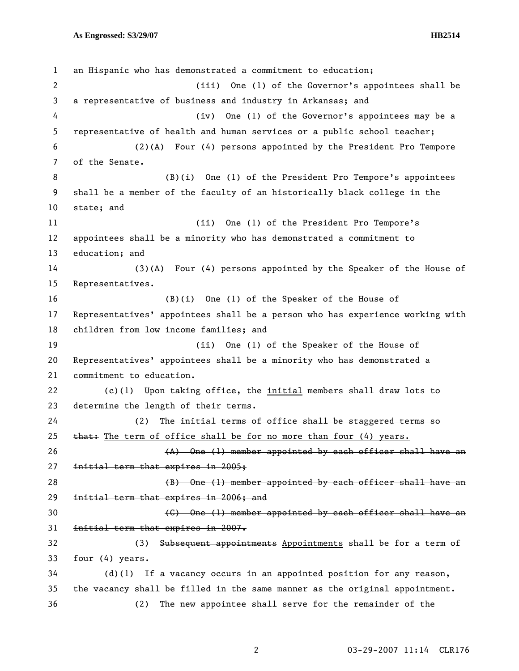1 an Hispanic who has demonstrated a commitment to education; 2 (iii) One (1) of the Governor's appointees shall be 3 a representative of business and industry in Arkansas; and 4 (iv) One (1) of the Governor's appointees may be a 5 representative of health and human services or a public school teacher; 6 (2)(A) Four (4) persons appointed by the President Pro Tempore 7 of the Senate. 8 (B)(i) One (1) of the President Pro Tempore's appointees 9 shall be a member of the faculty of an historically black college in the 10 state; and 11 (ii) One (1) of the President Pro Tempore's 12 appointees shall be a minority who has demonstrated a commitment to 13 education; and 14 (3)(A) Four (4) persons appointed by the Speaker of the House of 15 Representatives. 16 (B)(i) One (1) of the Speaker of the House of 17 Representatives' appointees shall be a person who has experience working with 18 children from low income families; and 19 (ii) One (1) of the Speaker of the House of 20 Representatives' appointees shall be a minority who has demonstrated a 21 commitment to education. 22 (c)(1) Upon taking office, the initial members shall draw lots to 23 determine the length of their terms. 24 (2) The initial terms of office shall be staggered terms so 25  $\frac{1}{25}$  that: The term of office shall be for no more than four (4) years.  $(A)$  One (1) member appointed by each officer shall have an 27 initial term that expires in 2005; 28 (B) One (1) member appointed by each officer shall have an 29 initial term that expires in 2006; and 30 **120 CHS** One (1) member appointed by each officer shall have an 31 initial term that expires in 2007. 32 (3) Subsequent appointments Appointments shall be for a term of 33 four (4) years. 34 (d)(1) If a vacancy occurs in an appointed position for any reason, 35 the vacancy shall be filled in the same manner as the original appointment. 36 (2) The new appointee shall serve for the remainder of the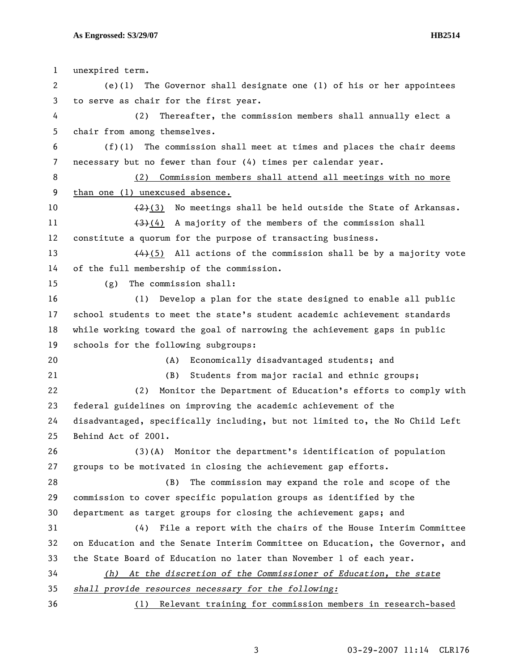| $\mathbf{1}$          | unexpired term.                                                               |  |  |  |  |
|-----------------------|-------------------------------------------------------------------------------|--|--|--|--|
| $\mathbf{2}^{\prime}$ | The Governor shall designate one (1) of his or her appointees<br>$(e)$ (1)    |  |  |  |  |
| 3                     | to serve as chair for the first year.                                         |  |  |  |  |
| 4                     | (2)<br>Thereafter, the commission members shall annually elect a              |  |  |  |  |
| 5                     | chair from among themselves.                                                  |  |  |  |  |
| 6                     | The commission shall meet at times and places the chair deems<br>(f)(1)       |  |  |  |  |
| $\overline{7}$        | necessary but no fewer than four (4) times per calendar year.                 |  |  |  |  |
| 8                     | Commission members shall attend all meetings with no more<br>(2)              |  |  |  |  |
| 9                     | than one (1) unexcused absence.                                               |  |  |  |  |
| 10                    | $(2)(3)$ No meetings shall be held outside the State of Arkansas.             |  |  |  |  |
| 11                    | A majority of the members of the commission shall<br><del>(3)</del> (4)       |  |  |  |  |
| 12                    | constitute a quorum for the purpose of transacting business.                  |  |  |  |  |
| 13                    | $(4)$ (5) All actions of the commission shall be by a majority vote           |  |  |  |  |
| 14                    | of the full membership of the commission.                                     |  |  |  |  |
| 15                    | The commission shall:<br>(g)                                                  |  |  |  |  |
| 16                    | Develop a plan for the state designed to enable all public<br>(1)             |  |  |  |  |
| 17                    | school students to meet the state's student academic achievement standards    |  |  |  |  |
| 18                    | while working toward the goal of narrowing the achievement gaps in public     |  |  |  |  |
| 19                    | schools for the following subgroups:                                          |  |  |  |  |
| 20                    | (A)<br>Economically disadvantaged students; and                               |  |  |  |  |
| 21                    | (B)<br>Students from major racial and ethnic groups;                          |  |  |  |  |
| 22                    | Monitor the Department of Education's efforts to comply with<br>(2)           |  |  |  |  |
| 23                    | federal guidelines on improving the academic achievement of the               |  |  |  |  |
| 24                    | disadvantaged, specifically including, but not limited to, the No Child Left  |  |  |  |  |
| 25                    | Behind Act of 2001.                                                           |  |  |  |  |
| 26                    | (3)(A) Monitor the department's identification of population                  |  |  |  |  |
| 27                    | groups to be motivated in closing the achievement gap efforts.                |  |  |  |  |
| 28                    | The commission may expand the role and scope of the<br>(B)                    |  |  |  |  |
| 29                    | commission to cover specific population groups as identified by the           |  |  |  |  |
| 30                    | department as target groups for closing the achievement gaps; and             |  |  |  |  |
| 31                    | (4)<br>File a report with the chairs of the House Interim Committee           |  |  |  |  |
| 32                    | on Education and the Senate Interim Committee on Education, the Governor, and |  |  |  |  |
| 33                    | the State Board of Education no later than November 1 of each year.           |  |  |  |  |
| 34                    | (h) At the discretion of the Commissioner of Education, the state             |  |  |  |  |
| 35                    | shall provide resources necessary for the following:                          |  |  |  |  |
| 36                    | (1) Relevant training for commission members in research-based                |  |  |  |  |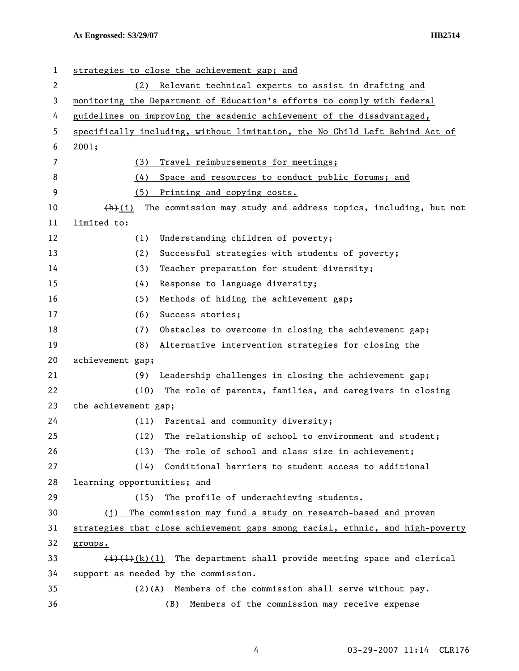| 1  | strategies to close the achievement gap; and                                                                          |  |  |  |  |  |
|----|-----------------------------------------------------------------------------------------------------------------------|--|--|--|--|--|
| 2  | Relevant technical experts to assist in drafting and<br>(2)                                                           |  |  |  |  |  |
| 3  | monitoring the Department of Education's efforts to comply with federal                                               |  |  |  |  |  |
| 4  | guidelines on improving the academic achievement of the disadvantaged,                                                |  |  |  |  |  |
| 5  | specifically including, without limitation, the No Child Left Behind Act of                                           |  |  |  |  |  |
| 6  | 2001;                                                                                                                 |  |  |  |  |  |
| 7  | (3)<br>Travel reimbursements for meetings;                                                                            |  |  |  |  |  |
| 8  | (4)<br>Space and resources to conduct public forums; and                                                              |  |  |  |  |  |
| 9  | (5)<br>Printing and copying costs.                                                                                    |  |  |  |  |  |
| 10 | The commission may study and address topics, including, but not<br>(h)(i)                                             |  |  |  |  |  |
| 11 | limited to:                                                                                                           |  |  |  |  |  |
| 12 | Understanding children of poverty;<br>(1)                                                                             |  |  |  |  |  |
| 13 | (2)<br>Successful strategies with students of poverty;                                                                |  |  |  |  |  |
| 14 | (3)<br>Teacher preparation for student diversity;                                                                     |  |  |  |  |  |
| 15 | (4)<br>Response to language diversity;                                                                                |  |  |  |  |  |
| 16 | (5)<br>Methods of hiding the achievement gap;                                                                         |  |  |  |  |  |
| 17 | (6)<br>Success stories;                                                                                               |  |  |  |  |  |
| 18 | Obstacles to overcome in closing the achievement gap;<br>(7)                                                          |  |  |  |  |  |
| 19 | (8)<br>Alternative intervention strategies for closing the                                                            |  |  |  |  |  |
| 20 | achievement gap;                                                                                                      |  |  |  |  |  |
| 21 | Leadership challenges in closing the achievement gap;<br>(9)                                                          |  |  |  |  |  |
| 22 | The role of parents, families, and caregivers in closing<br>(10)                                                      |  |  |  |  |  |
| 23 | the achievement gap;                                                                                                  |  |  |  |  |  |
| 24 | Parental and community diversity;<br>(11)                                                                             |  |  |  |  |  |
| 25 | (12)<br>The relationship of school to environment and student;                                                        |  |  |  |  |  |
| 26 | The role of school and class size in achievement;<br>(13)                                                             |  |  |  |  |  |
| 27 | Conditional barriers to student access to additional<br>(14)                                                          |  |  |  |  |  |
| 28 | learning opportunities; and                                                                                           |  |  |  |  |  |
| 29 | The profile of underachieving students.<br>(15)                                                                       |  |  |  |  |  |
| 30 | The commission may fund a study on research-based and proven<br>(i)                                                   |  |  |  |  |  |
| 31 | strategies that close achievement gaps among racial, ethnic, and high-poverty                                         |  |  |  |  |  |
| 32 | groups.                                                                                                               |  |  |  |  |  |
| 33 | The department shall provide meeting space and clerical<br>$\left(\frac{1}{2}\right)\left(\frac{1}{2}\right)$ (k) (1) |  |  |  |  |  |
| 34 | support as needed by the commission.                                                                                  |  |  |  |  |  |
| 35 | $(2)(A)$ Members of the commission shall serve without pay.                                                           |  |  |  |  |  |
| 36 | Members of the commission may receive expense<br>(B)                                                                  |  |  |  |  |  |

4 03-29-2007 11:14 CLR176